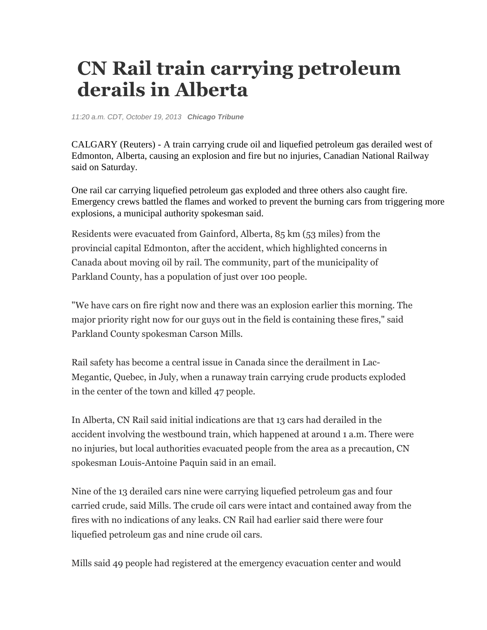## **CN Rail train carrying petroleum derails in Alberta**

11:20 a.m. CDT, October 19, 2013 **Chicago Tribune** 

CALGARY (Reuters) - A train carrying crude oil and liquefied petroleum gas derailed west of Edmonton, Alberta, causing an explosion and fire but no injuries, Canadian National Railway said on Saturday.

One rail car carrying liquefied petroleum gas exploded and three others also caught fire. Emergency crews battled the flames and worked to prevent the burning cars from triggering more explosions, a municipal authority spokesman said.

Residents were evacuated from Gainford, Alberta, 85 km (53 miles) from the provincial capital Edmonton, after the accident, which highlighted concerns in Canada about moving oil by rail. The community, part of the municipality of Parkland County, has a population of just over 100 people.

"We have cars on fire right now and there was an explosion earlier this morning. The major priority right now for our guys out in the field is containing these fires," said Parkland County spokesman Carson Mills.

Rail safety has become a central issue in Canada since the derailment in Lac-Megantic, Quebec, in July, when a runaway train carrying crude products exploded in the center of the town and killed 47 people.

In Alberta, CN Rail said initial indications are that 13 cars had derailed in the accident involving the westbound train, which happened at around 1 a.m. There were no injuries, but local authorities evacuated people from the area as a precaution, CN spokesman Louis-Antoine Paquin said in an email.

Nine of the 13 derailed cars nine were carrying liquefied petroleum gas and four carried crude, said Mills. The crude oil cars were intact and contained away from the fires with no indications of any leaks. CN Rail had earlier said there were four liquefied petroleum gas and nine crude oil cars.

Mills said 49 people had registered at the emergency evacuation center and would